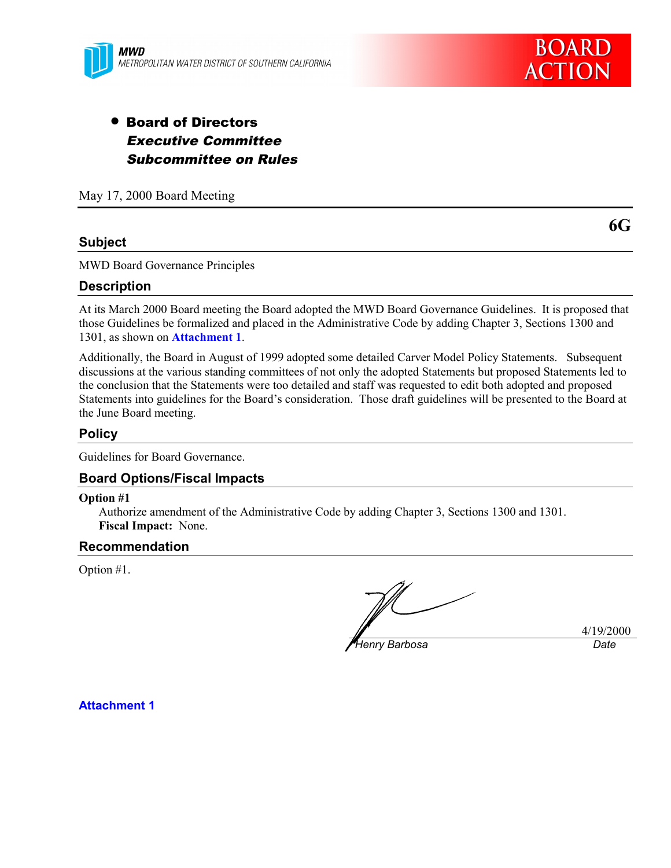



# • Board of Directors Executive Committee Subcommittee on Rules

May 17, 2000 Board Meeting

#### **Subject**

MWD Board Governance Principles

#### **Description**

At its March 2000 Board meeting the Board adopted the MWD Board Governance Guidelines. It is proposed that those Guidelines be formalized and placed in the Administrative Code by adding Chapter 3, Sections 1300 and 1301, as shown on **Attachment 1**.

Additionally, the Board in August of 1999 adopted some detailed Carver Model Policy Statements. Subsequent discussions at the various standing committees of not only the adopted Statements but proposed Statements led to the conclusion that the Statements were too detailed and staff was requested to edit both adopted and proposed Statements into guidelines for the Board's consideration. Those draft guidelines will be presented to the Board at the June Board meeting.

#### **Policy**

Guidelines for Board Governance.

#### **Board Options/Fiscal Impacts**

#### **Option #1**

Authorize amendment of the Administrative Code by adding Chapter 3, Sections 1300 and 1301. **Fiscal Impact:** None.

#### **Recommendation**

Option #1.

*Henry Barbosa Date*

4/19/2000

**Attachment 1**

**6G**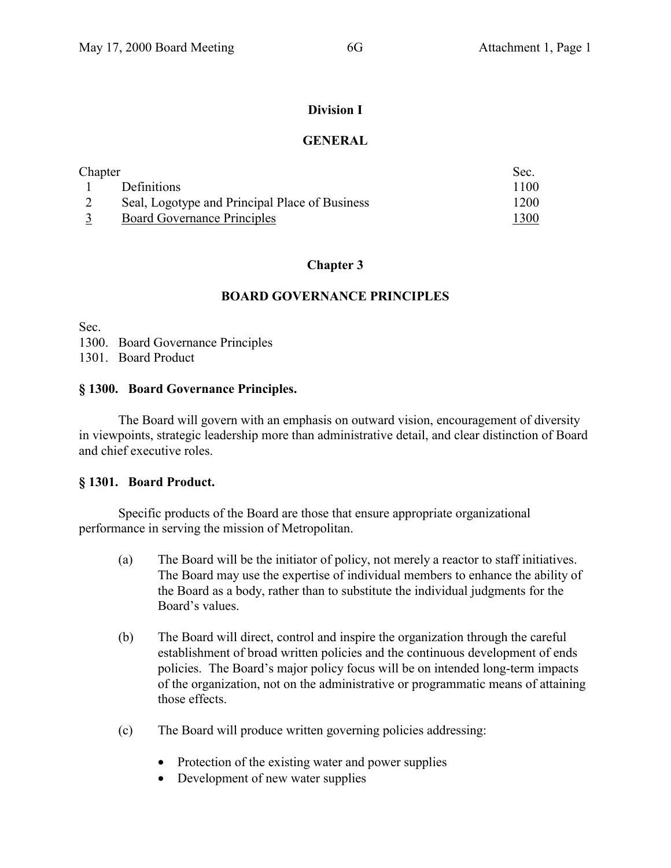# **Division I**

# **GENERAL**

| Chapter |                                                | Sec.         |
|---------|------------------------------------------------|--------------|
|         | <b>Definitions</b>                             | 1100         |
|         | Seal, Logotype and Principal Place of Business | 1200         |
|         | <b>Board Governance Principles</b>             | <u> 1300</u> |

# **Chapter 3**

# **BOARD GOVERNANCE PRINCIPLES**

Sec.

1300. Board Governance Principles

1301. Board Product

# **§ 1300. Board Governance Principles.**

The Board will govern with an emphasis on outward vision, encouragement of diversity in viewpoints, strategic leadership more than administrative detail, and clear distinction of Board and chief executive roles.

# **§ 1301. Board Product.**

Specific products of the Board are those that ensure appropriate organizational performance in serving the mission of Metropolitan.

- (a) The Board will be the initiator of policy, not merely a reactor to staff initiatives. The Board may use the expertise of individual members to enhance the ability of the Board as a body, rather than to substitute the individual judgments for the Board's values.
- (b) The Board will direct, control and inspire the organization through the careful establishment of broad written policies and the continuous development of ends policies. The Board's major policy focus will be on intended long-term impacts of the organization, not on the administrative or programmatic means of attaining those effects.
- (c) The Board will produce written governing policies addressing:
	- Protection of the existing water and power supplies
	- Development of new water supplies